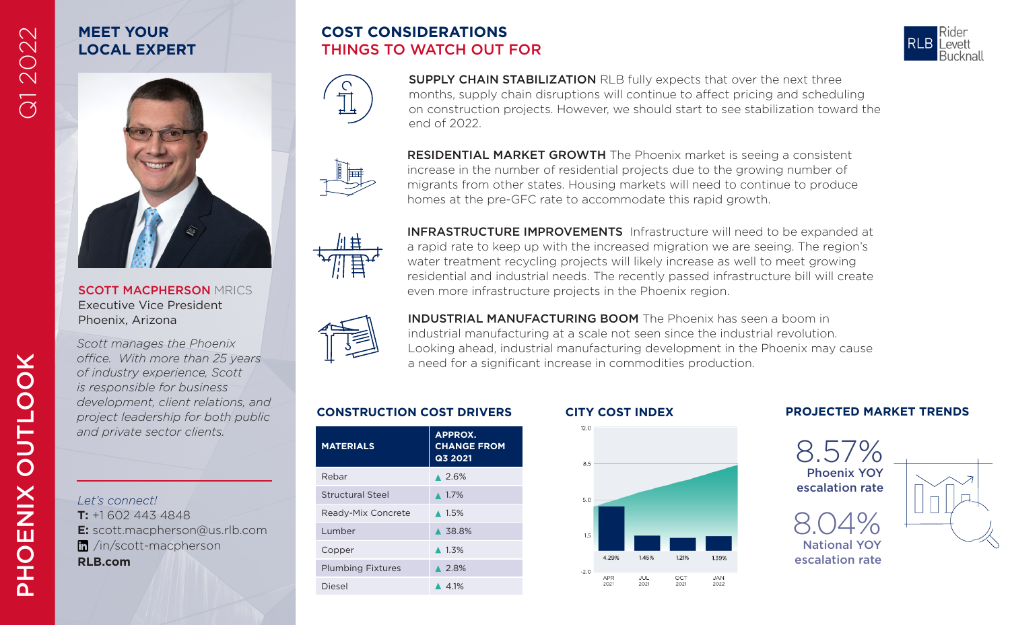# **MEET YOUR LOCAL EXPERT**

Q1 2022



SCOTT MACPHERSON MRICS Executive Vice President Phoenix, Arizona

*Scott manages the Phoenix office. With more than 25 years of industry experience, Scott is responsible for business development, client relations, and project leadership for both public and private sector clients.*

*Let's connect!* **T:** +1 602 443 4848 **E:** scott.macpherson@us.rlb.com /in/scott-macpherson **RLB.com**

## **COST CONSIDERATIONS** THINGS TO WATCH OUT FOR



SUPPLY CHAIN STABILIZATION RLB fully expects that over the next three months, supply chain disruptions will continue to affect pricing and scheduling on construction projects. However, we should start to see stabilization toward the end of 2022.

RESIDENTIAL MARKET GROWTH The Phoenix market is seeing a consistent increase in the number of residential projects due to the growing number of migrants from other states. Housing markets will need to continue to produce homes at the pre-GFC rate to accommodate this rapid growth.



INFRASTRUCTURE IMPROVEMENTS Infrastructure will need to be expanded at a rapid rate to keep up with the increased migration we are seeing. The region's water treatment recycling projects will likely increase as well to meet growing residential and industrial needs. The recently passed infrastructure bill will create even more infrastructure projects in the Phoenix region.



INDUSTRIAL MANUFACTURING BOOM The Phoenix has seen a boom in industrial manufacturing at a scale not seen since the industrial revolution. Looking ahead, industrial manufacturing development in the Phoenix may cause a need for a significant increase in commodities production.

145%

 $JUL$ <br>2021

1.21%

 $_{2021}^{OCT}$ 

1.39%

JAN<br>2022

| <b>MATERIALS</b>         | <b>APPROX.</b><br><b>CHANGE FROM</b><br>Q3 2021 |
|--------------------------|-------------------------------------------------|
| Rebar                    | $* 2.6%$                                        |
| Structural Steel         | $\triangle$ 1.7%                                |
| Ready-Mix Concrete       | $\triangle$ 1.5%                                |
| Lumber                   | A 38.8%                                         |
| Copper                   | $\triangle$ 1.3%                                |
| <b>Plumbing Fixtures</b> | $\triangle$ 2.8%                                |
| Diesel                   | 4.1%                                            |



 $12.0$ 

 $-20$ APR

 $2021$